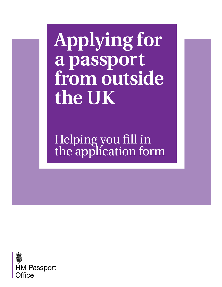**Applying for a passport from outside the UK**

Helping you fill in [the application form](https://deedpolloffice.com/change-name/who-to-tell/passport/applying-outside-uk-guidance)

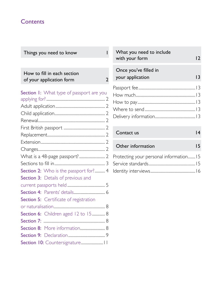## **Contents**

| Things you need to know                                          |   |
|------------------------------------------------------------------|---|
|                                                                  |   |
| How to fill in each section<br>of your application form          | 7 |
| <b>Section I:</b> What type of passport are you<br>applying for? |   |
|                                                                  |   |

| Section 2: Who is the passport for? 4  |  |  |
|----------------------------------------|--|--|
| Section 3: Details of previous and     |  |  |
|                                        |  |  |
|                                        |  |  |
| Section 5: Certificate of registration |  |  |
|                                        |  |  |
| Section 6: Children aged 12 to 15 8    |  |  |
|                                        |  |  |
| Section 8: More information 8          |  |  |
|                                        |  |  |
|                                        |  |  |

| What you need to include<br>with your form | $\overline{2}$  |
|--------------------------------------------|-----------------|
| Once you've filled in<br>your application  | $\overline{13}$ |
|                                            |                 |
|                                            |                 |
|                                            |                 |
|                                            |                 |
|                                            |                 |
|                                            |                 |

| Contact us                             | $\boldsymbol{4}$ |
|----------------------------------------|------------------|
| Other information                      | 15               |
| Protecting your personal information15 |                  |
|                                        |                  |
|                                        |                  |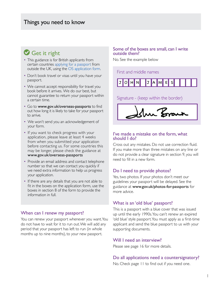## Get it right

- This guidance is for British applicants from certain countries [applying for a passport](https://deedpolloffice.com/change-name/who-to-tell/passport) from outside the UK, using the [OS application form](https://deedpolloffice.com/change-name/who-to-tell/passport/applying-outside-uk-form).
- Don't book travel or visas until you have your passport.
- We cannot accept responsibility for travel you book before it arrives. We do our best, but cannot guarantee to return your passport within a certain time.
- Go to [www.gov.uk/](http://www.gov.uk/overseas-passports)overseas-passports to find out how long it is likely to take for your passport to arrive.
- We won't send you an acknowledgement of your form.
- If you want to check progress with your application, please leave at least 4 weeks from when you submitted your application before contacting us. For some countries this may be longer, please check the guidance at [www.gov.uk](http://www.gov.uk/overseas-passports)/overseas-passports
- Provide an email address and contact telephone number so that we can contact you quickly if we need extra information to help us progress your application.
- If there are any details that you are not able to fit in the boxes on the application form, use the boxes in section 8 of the form to provide the information in full.

#### When can I renew my passport?

You can renew your passport whenever you want. You do not have to wait for it to run out. We will add any period that your passport has left to run (in whole months up to nine months), to your new passport.

#### Some of the boxes are small, can I write outside them?

No. See the example below

First and middle names



Signature - (keep within the border)

#### I've made a mistake on the form, what should I do?

Cross out any mistakes. Do not use correction fluid. If you make more than three mistakes on any line or do not provide a clear signature in section 9, you will need to fill in a new form.

## Do I need to provide photos?

Yes, two photos. If your photos don't meet our guidelines your passport will be delayed. See the guidance at [www.gov.uk/photos-for-passports](http://www.gov.uk/photos-for-passports) for more advice.

### What is an 'old blue' passport?

This is a passport with a blue cover that was issued up until the early 1990s. You can't renew an expired 'old blue' style passport. You must apply as a first-time applicant and send the blue passport to us with your supporting documents.

#### Will I need an interview?

Please see page 16 for more details.

#### Do all applications need a countersignatory?

No. Check page 11 to find out if you need one.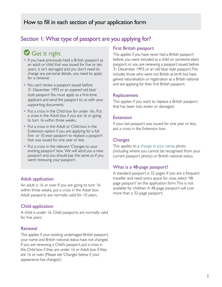## Section I: What type of passport are you applying for?

## Get it right

- If you have previously held a British passport as an adult or child that was issued for five or ten years, it isn't damaged and you don't need to change any personal details, you need to apply for a renewal.
- You can't renew a passport issued before 31 December 1993 or an expired 'old blue' style passport. You must apply as a first-time applicant and send the passport to us with your supporting documents.
- Put a cross in the Child box for under 16s. Put a cross in the Adult box if you are 16 or going to turn 16 within three weeks.
- Put a cross in the Adult or Child box in the Extension option if you are applying for a full five- or 10-year passport to replace a passport that was issued for one year or less.
- Put a cross in the relevant 'Changes to your existing passport' box. We will send you a new passport and you should pay the same as if you were renewing your passport.

### Adult application

An adult is 16 or over. If you are going to turn 16 within three weeks, put a cross in the Adult box. Adult passports are normally valid for 10 years.

### Child application

A child is under 16. Child passports are normally valid for five years.

#### Renewal

This applies if your existing undamaged British passport, your name and British national status have not changed. If you are renewing a Child's passport, put a cross in the Child box if they are under 16 or Adult box if they are 16 or over. (Please see 'Changes' below if your appearance has changed.)

### First British passport

This applies if you have never had a British passport before, you were included as a child on someone else's passport, or you are renewing a passport issued before 31 December 1993, or an 'old blue'style passport.This includes those who were not British at birth but have gained naturalisation or registration as a British national and are applying for their first British passport.

#### Replacement

This applies if you want to replace a British passport that has been lost, stolen or damaged.

#### Extension

If your last passport was issued for one year or less, put a cross in the Extension box.

#### **Changes**

This applies to a [change in your name,](https://deedpolloffice.com/change-name) photo (including where you cannot be recognised from your current passport photo) or British national status.

### What is a 48-page passport?

A standard passport is 32 pages. If you are a frequent traveller and need extra space for visas, select '48 page passport' on the application form. This is not available for children. A 48-page passport will cost more than a 32-page passport.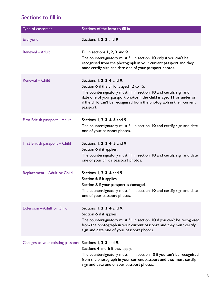## Sections to fill in

| Type of customer                  | Sections of the form to fill in                                                                                                                                                                                                                                                                                        |
|-----------------------------------|------------------------------------------------------------------------------------------------------------------------------------------------------------------------------------------------------------------------------------------------------------------------------------------------------------------------|
| <b>Everyone</b>                   | Sections 1, 2, 3 and 9                                                                                                                                                                                                                                                                                                 |
| Renewal - Adult                   | Fill in sections $\mathbf{I}$ , 2, 3 and 9.<br>The countersignatory must fill in section 10 only if you can't be<br>recognised from the photograph in your current passport and they<br>must certify, sign and date one of your passport photos.                                                                       |
| Renewal - Child                   | Sections $\mathbf{I}$ , 2, 3, 4 and 9.<br>Section 6 if the child is aged 12 to 15.<br>The countersignatory must fill in section 10 and certify, sign and<br>date one of your passport photos if the child is aged 11 or under or<br>if the child can't be recognised from the photograph in their current<br>passport. |
| First British passport - Adult    | Sections 1, 2, 3, 4, 5 and 9.<br>The countersignatory must fill in section 10 and certify, sign and date<br>one of your passport photos.                                                                                                                                                                               |
| First British passport - Child    | Sections 1, 2, 3, 4, 5 and 9.<br>Section 6 if it applies.<br>The countersignatory must fill in section 10 and certify, sign and date<br>one of your child's passport photos.                                                                                                                                           |
| Replacement - Adult or Child      | Sections 1, 2, 3, 4 and 9.<br>Section 6 if it applies<br>Section 8 if your passport is damaged.<br>The countersignatory must fill in section 10 and certify, sign and date<br>one of your passport photos.                                                                                                             |
| <b>Extension - Adult or Child</b> | Sections 1, 2, 3, 4 and 9.<br>Section 6 if it applies.<br>The countersignatory must fill in section 10 if you can't be recognised<br>from the photograph in your current passport and they must certify,<br>sign and date one of your passport photos.                                                                 |
| Changes to your existing passport | Sections $I$ , 2, 3 and 9.<br>Sections 4 and 6 if they apply.<br>The countersignatory must fill in section 10 if you can't be recognised<br>from the photograph in your current passport and they must certify,<br>sign and date one of your passport photos.                                                          |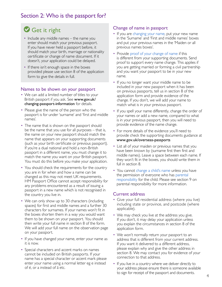## Section 2: Who is the passport for?

# Get it right

- Include any middle names the name you enter should match your previous passport. If you have never held a passport before, it should match your birth, marriage or nationality certificate or change of name document. If it doesn't, your application could be delayed.
- If there isn't enough space in the boxes provided please use section 8 of the application form to give the details in full.

#### Names to be shown on your passport

- We can add a limited number of titles to your British passport if you ask. See [www.gov.uk/](http://www.gov.uk/ changing-passport-information) [changing-passport-information](http://www.gov.uk/ changing-passport-information) for details.
- Please give the name of the person who the passport is for under 'surname' and 'first and middle names'.
- The name that is shown on the passport should be the name that you use for all purposes – that is, the name on your new passport should match the name that appears on your supporting documents (such as your birth certificate or previous passport). If you're a dual national and hold a non-British passport in a different name, you must change it to match the name you want on your British passport. You must do this before you make your application.
- You should check the requirements for the country you are in for when and how a name can be changed as this may not meet UK requirements. HM Passport Office cannot accept responsibility for any problems encountered as a result of issuing a passport in a new name which is not recognised in the country you live in.
- We can only show up to 30 characters (including spaces) for first and middle names and a further 30 characters for surnames. If your names won't fit in the boxes shorten them in a way you would want them to be shown on your passport. You should then write your full name in section 8 of the form. We will add your full name on the observation page on your passport.
- If you have changed your name, enter your name as it is now.
- Special characters and accent marks on names cannot be included on British passports. If your name has a special character or accent mark please enter your name using a normal letter eg e instead of é, or a instead of ä etc.

### Change of name in passport

- If you are [changing your name](https://deedpolloffice.com/change-name), put your new name in the 'Surname' and 'First and middle names' boxes and put your previous names in the 'Maiden or all previous names boxes'.
- Provide [proof of your change of name](https://deedpolloffice.com/change-name/deed-poll) if this is different from your supporting documents. Send proof to support every name change. This applies if you are getting married or forming a civil partnership and you want your passport to be in your new name.
- If you no longer want your middle name to be included in your new passport when it has been on previous passports, tell us in section 8 of the application form and provide evidence of the change. If you don't, we will add your name to match what is in your previous passport.
- If you spell your name differently, change the order of your names or add a new name, compared to what is in your previous passport, then you will need to provide evidence of the name change.
- For more details of the evidence you'll need to provide check the supporting documents guidance at [www.gov.uk/overseas-passports](http://www.gov.uk/overseas-passports)
- List all of your maiden or previous names that you have been known by (surname first then first and middle names). Leave a space between each name. If they won't fit in the boxes, you should write them in full in section 8.
- You cannot [change a child's name](https://deedpolloffice.com/change-name/children) unless you have the permission of everyone who has [parental](https://deedpolloffice.com/change-name/children/parental-responsibility) [responsibility](https://deedpolloffice.com/change-name/children/parental-responsibility) for the child. Please see section 9 on parental responsibility for more information.

### Current address

- Give your full residential address (where you live) including state or province, and postcode (where applicable).
- We may check you live at the address you give. If you don't, it may delay your application unless you explain the circumstances in section 8 of the application form.
- We won't normally return your passport to an address that is different from your current address. If you want it delivered to a different address, please explain why and give the other address in section 8. We may contact you for evidence of your connection to that address.
- If you live in a country where we deliver directly to your address please ensure there is someone available to sign for receipt of the passport and documents.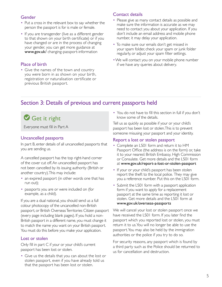### Gender

- Put a cross in the relevant box to say whether the person the passport is for is male or female.
- If you are transgender (live as a different gender to that shown on your birth certificate) or if you have changed or are in the process of changing your gender, you can get more guidance at [www.gov.uk](http://www.gov.uk)/ changing-passport-information

### Place of birth

• Give the names of the town and country you were born in as shown on your birth, registration or naturalisation certificate or previous British passport.

## Contact details

- Please give as many contact details as possible and make sure the information is accurate as we may need to contact you about your application. If you don't include an email address and mobile phone number, it may delay your application.
- To make sure our emails don't get missed in your spam folder, check your spam or junk folder regularly, or adjust your spam filter settings.
- •We will contact you on your mobile phone number if we have any queries about delivery.

## Section 3: Details of previous and current passports held

## Get it right

Everyone must fill in Part A

### Uncancelled passports

In part B, enter details of all uncancelled passports that you are sending us.

A cancelled passport has the top right-hand corner of the cover cut off. An uncancelled passport has not been cancelled by its issuing authority (British or another country). This may include:

- an expired passport (in other words one that has run out);
- passports you are or were included on (for example, as a child).

If you are a dual national, you should send us a full colour photocopy of the uncancelled non-British passport, or British Overseas Territories Citizen passport (every page including blank pages). If you hold a non-British passport in a different name, you must change it to match the name you want on your British passport. You must do this before you make your application.

### Lost or stolen

Only fill in part C if your or your child's current passport has been lost or stolen.

• Give us the details that you can about the lost or stolen passport, even if you have already told us that the passport has been lost or stolen.

• You do not have to fill this section in full if you don't know some of the details.

Tell us as quickly as possible if your or your child's passport has been lost or stolen. This is to prevent someone misusing your passport and your identity.

### Report a lost or stolen passport

- Complete an LS01 form and return it to HM Passport Office (the address is on the form) or, take it to your nearest British Embassy, High Commission or Consulate. Get more details and the LS01 form at [www.gov.uk/report-a-lost-or-stolen-passport](http://www.gov.uk/report-a-lost-or-stolen-passport)
- If your or your child's passport has been stolen report the theft to the local police. They may give you a reference number. Put this on the LS01 form.
- Submit the LS01 form with a passport application form if you want to apply for a replacement passport at the same time as reporting it lost or stolen. Get more details and the LS01 form at [www.gov.uk/overseas-passports](http://www.gov.uk/overseas-passports)

We will cancel your lost or stolen passport once we have received the LS01 form. If you later find the passport which you reported lost or stolen, you must return it to us. You will no longer be able to use the passport. You may also be held by the immigration authorities or the police if you try to do so.

For security reasons, any passport which is found by a third party such as the Police should be returned to us for cancellation and destruction.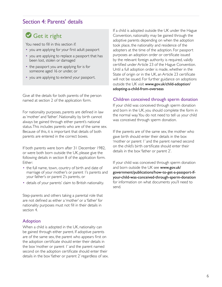## Section 4: Parents' details

## Get it right

You need to fill in this section if:

- you are applying for your first adult passport
- you are applying to replace a passport that has been lost, stolen or damaged
- the passport you are applying for is for someone aged 16 or under, or
- you are applying to extend your passport.

Give all the details for both parents of the person named at section 2 of the application form.

For nationality purposes, parents are defined in law as 'mother' and 'father'. Nationality by birth cannot always be gained through either parent's national status. This includes parents who are of the same sex. Because of this, it is important that details of both parents are entered in the correct boxes.

If both parents were born after 31 December 1982, or were both born outside the UK, please give the following details in section 8 of the application form. Either:

- the full name, town, country of birth and date of marriage of your mother's or parent 1's parents and your father's or parent 2's parents, or
- details of your parents' claim to British nationality.

Step-parents and others taking a parental role that are not defined as either a 'mother' or a 'father' for nationality purposes must not fill in their details in section 4.

#### Adoption

When a child is adopted in the UK, nationality can be gained through either parent. If adoptive parents are of the same sex, the parent who appears first on the adoption certificate should enter their details in the box 'mother or parent 1' and the parent named second on the adoption certificate should enter their details in the box 'father or parent 2' regardless of sex. If a child is adopted outside the UK under the Hague Convention, nationality may be gained through the adoptive parents depending on when the adoption took place, the nationality and residence of the adopters at the time of the adoption. For passport purposes an adoption order or certificate issued by the relevant foreign authority is required, validly certified under Article 23 of the Hague Convention. Until a full adoption order is made, whether in the State of origin or in the UK, an Article 23 certificate will not be issued. For further guidance on adoptions outside the UK visit [www.gov.uk/child-adoption/](http://www.gov.uk/child-adoption/adopting-a-child-from-overseas) [adopting-a-child-from-overseas](http://www.gov.uk/child-adoption/adopting-a-child-from-overseas)

#### Children conceived through sperm donation

If your child was conceived through sperm donation and born in the UK, you should complete the form in the normal way. You do not need to tell us your child was conceived through sperm donation.

If the parents are of the same sex, the mother who gave birth should enter their details in the box 'mother or parent 1' and the parent named second on the child's birth certificate should enter their details in the box 'father or parent 2'.

If your child was conceived through sperm donation and born outside the UK see [www.gov.uk/](http://www.gov.uk/government/publications/how-to-get-a-passport-if-your-child-was-conceived-through-sperm-donation) [government/publications/how-to-get-a-passport-if](http://www.gov.uk/government/publications/how-to-get-a-passport-if-your-child-was-conceived-through-sperm-donation)[your-child-was-conceived-through-sperm-donation](http://www.gov.uk/government/publications/how-to-get-a-passport-if-your-child-was-conceived-through-sperm-donation) for information on what documents you'll need to send.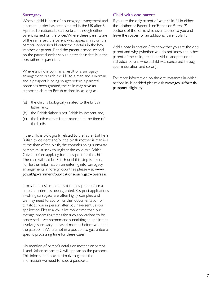#### **Surrogacy**

When a child is born of a surrogacy arrangement and a parental order has been granted in the UK after 6 April 2010, nationality can be taken through either parent named on the order. Where these parents are of the same sex, the parent who appears first on the parental order should enter their details in the box 'mother or parent 1' and the parent named second on the parental order should enter their details in the box 'father or parent 2'.

Where a child is born as a result of a surrogacy arrangement outside the UK to a man and a woman and a passport is being sought before a parental order has been granted, the child may have an automatic claim to British nationality as long as:

- (a) the child is biologically related to the British father and,
- (b) the British father is not British by descent and,
- (c) the birth mother is not married at the time of the birth.

If the child is biologically related to the father but he is British by descent and/or the bir th mother is married at the time of the bir th, the commissioning surrogate parents must seek to register the child as a British Citizen before applying for a passport for the child. The child will not be British until this step is taken. For further information on entering into surrogacy arrangements in foreign countries please visit [www.](http://www.gov.uk/government/publications/surrogacy-overseas) [gov.uk/government/publications/surrogacy-overseas](http://www.gov.uk/government/publications/surrogacy-overseas)

It may be possible to apply for a passport before a parental order has been granted. Passport applications involving surrogacy are often highly complex and we may need to ask for fur ther documentation or to talk to you in person after you have sent us your application. Please allow a lot more time than our average processing times for such applications to be processed – we recommend submitting an application involving surrogacy at least 4 months before you need the passpor t. We are not in a position to guarantee a specific processing time for these cases.

No mention of parent's details or 'mother or parent 1' and 'father or parent 2' will appear on the passport. This information is used simply to gather the information we need to issue a passport.

#### Child with one parent

If you are the only parent of your child, fill in either the 'Mother or Parent 1' or 'Father or Parent 2' sections of the form, whichever applies to you and leave the spaces for an additional parent blank.

Add a note in section 8 to show that you are the only parent and why (whether you do not know the other parent of the child, are an individual adopter, or an individual parent whose child was conceived through sperm donation and so on).

For more information on the circumstances in which nationality is decided please visit [www.gov.uk/british](http://www.gov.uk/british-passport-eligibility)[passport-eligibility](http://www.gov.uk/british-passport-eligibility)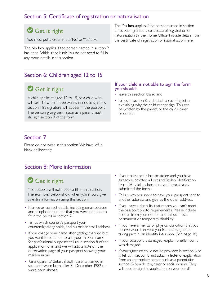## Section 5: Certificate of registration or naturalisation

## Get it right

You must put a cross in the 'No' or 'Yes' box.

The No box applies if the person named in section 2 has been British since birth. You do not need to fill in any more details in this section.

Section 6: Children aged 12 to 15

## Get it right

A child applicant aged 12 to 15, or a child who will turn 12 within three weeks, needs to sign this section. This signature will appear in the passport. The person giving permission as a parent must still sign section 9 of the form.

The Yes box applies if the person named in section 2 has been granted a certificate of registration or naturalisation by the Home Office. Provide details from the certificate of registration or naturalisation here.

#### If your child is not able to sign the form, you should:

- leave this section blank; and
- tell us in section 8 and attach a covering letter explaining why the child cannot sign. This can be written by the parent or the child's carer or doctor.

## Section 7

Please do not write in this section. We have left it blank deliberately.

## Section 8: More information

## Get it right

Most people will not need to fill in this section. The examples below show when you should give us extra information using this section.

- Names or contact details, including email address and telephone number that you were not able to fit in the boxes in section 2.
- Tell us which country's passport your countersignatory holds, and his or her email address.
- If you change your name after getting married but you want to continue to use your maiden name for professional purposes tell us in section 8 of the application form and we will add a note on the observation page of your passport showing your maiden name.
- Grandparents' details if both parents named in section 4 were born after 31 December 1982 or were born abroad.
- If your passport is lost or stolen and you have already submitted a Lost and Stolen Notification form LS01, tell us here that you have already submitted the form.
- Tell us why you need to have your passport sent to another address and give us the other address.
- If you have a disability that means you can't meet the passport photo requirements. Please include a letter from your doctor, and tell us if it's a permanent or temporary disability.
- If you have a mental or physical condition that you believe would prevent you from coming to, or taking part in, an identity interview. (See page 16)
- If your passport is damaged, explain briefly how it was damaged.
- If your signature could not be provided in section 6 or 9, tell us in section 8 and attach a letter of explanation from an appropriate person such as a parent (for section 6) or a doctor, carer or social worker. They will need to sign the application on your behalf.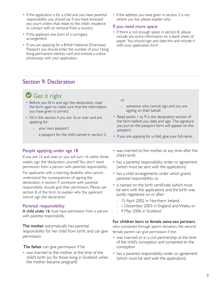- If the application is for a child and you have parental responsibility, you should say if you have enclosed any court orders that relate to the child's residence in, contact with or removal from a country.
- If the applicant was born of a surrogacy arrangement.
- If you are applying for a British National (Overseas) Passport you should enter the number of your Hong Kong permanent identity card and enclose a colour photocopy with your application.
- If the address you have given in section 2 is not where you live, please explain why.

#### If you need more space

• If there is not enough space in section 8, please include any extra information on a blank sheet of paper. You should sign and date this and include it with your application form.

## Section 9: Declaration

## Get it right

- Before you fill in and sign the declaration, read the form again to make sure that the information you have given is correct.
- Fill in this section if you are 16 or over and are applying for:
	- your own passport
	- a passport for the child named in section 2,

#### People applying under age 18

If you are 16 and over, or you will turn 16 within three weeks, sign the declaration yourself. You don't need permission from a person with parental responsibility.

For applicants with a learning disability who cannot understand the consequences of signing the declaration in section 9, someone with parental responsibility should give their permission. Please use section 8 of the form to explain why the applicant cannot sign the declaration.

#### Parental responsibility

A child under 16 must have permission from a person with parental responsibility.

The mother automatically has parental responsibility for her child from birth, and can give permission.

The father can give permission if he:

• was married to the mother at the time of the child's birth (or, for those living in Scotland, when the mother became pregnant)

or

- someone who cannot sign and you are signing on their behalf.
- Read points I to 9 in the declaration section of the form before you date and sign. The signature you put on the passport form will appear on the passport.
- If you are applying for a child, give your full name.
- was married to the mother at any time after the child's birth
- has a parental responsibility order or agreement (which must be sent with the application)
- has a child arrangements order which grants parental responsibility, or.
- is named on the birth certificate (which must be sent with the application) and the birth was jointly registered on or after:
	- 15 April 2002 in Northern Ireland
	- 1 December 2003 in England and Wales, or
	- 4 May 2006 in Scotland

#### For children born to female same-sex partners

who conceived through sperm donation, the second female parent can give permission if she:

- was married or in a civil partnership at the time of the child's conception and consented to the conception
- has a parental responsibility order or agreement (which must be sent with the application)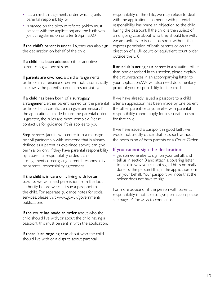- has a child arrangements order which grants parental responsibility, or
- is named on the birth certificate (which must be sent with the application) and the birth was jointly registered on or after 6 April 2009

If the child's parent is under 16, they can also sign the declaration on behalf of the child.

If a child has been adopted, either adoptive parent can give permission.

If parents are divorced, a child arrangements order or maintenance order will not automatically take away the parent's parental responsibility.

#### If a child has been born of a surrogacy

arrangement, either parent named on the parental order or birth certificate can give permission. If the application is made before the parental order is granted, the rules are more complex. Please contact us for guidance if this applies to you.

**Step parents** (adults who enter into a marriage or civil partnership with someone that is already defined as a parent as explained above) can give permission only if they have parental responsibility by a parental responsibility order, a child arrangements order giving parental responsibility or parental responsibility agreement.

#### If the child is in care or is living with foster

parents, we will need permission from the local authority before we can issue a passport to the child. For separate guidance notes for social services, please visit www.gov.uk/government/ publications.

If the court has made an order about who the child should live with, or about the child having a passport, this must be sent in with the application.

If there is an ongoing case about who the child should live with or a dispute about parental

responsibility of the child, we may refuse to deal with the application if someone with parental responsibility has made an objection to the child having the passport. If the child is the subject of an ongoing case about who they should live with, we are unlikely to issue a passport without the express permission of both parents or on the direction of a UK court, or equivalent court order outside the UK.

If an adult is acting as a parent in a situation other than one described in this section, please explain the circumstances in an accompanying letter to your application. We will also need documentary proof of your responsibility for the child.

If we have already issued a passport to a child after an application has been made by one parent, the other parent or anyone else with parental responsibility cannot apply for a separate passport for that child.

If we have issued a passport in good faith, we would not usually cancel that passport without the permission of both parents or a Court Order.

#### If you cannot sign the declaration:

- get someone else to sign on your behalf, and
- tell us in section 8 and attach a covering letter to explain why you cannot sign. This is normally done by the person filling in the application form on your behalf. Your passport will note that the holder does not have to sign.

For more advice or if the person with parental responsibility is not able to give permission, please see page 14 for ways to contact us.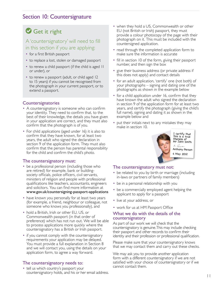## Section 10: Countersignature

## Get it right

## A 'countersignatory' will need to fill in this section if you are applying:

- for a first British passport
- to replace a lost, stolen or damaged passport
- to renew a child passport (if the child is aged 11 or under), or
- to renew a passport (adult, or child aged 12 to 15 years) if you cannot be recognised from the photograph in your current passport, or to extend a passport.

#### **Countersignatories**

- A countersignatory is someone who can confirm your identity. They need to confirm that, to the best of their knowledge, the details you have given in your application are correct, and they must also confirm that the photograph is of you.
- For child applications (aged under 16) it is also to confirm that they have known, for at least two years, the adult who signed the declaration in section 9 of the application form. They must also confirm that the person has parental responsibility for the child and confirm the child's photo.

#### The countersignatory must:

- be a professional person (including those who are retired) for example, bank or buildingsociety officials, police officers, civil servants, ministers of religion and people with professional qualifications like teachers, accountants, engineers and solicitors. You can find more information at [www.gov.uk](http://www.gov.uk/countersigning-passport-applications)/countersigning-passport-applications
- have known you personally for at least two years (for example, a friend, neighbour or colleague, not someone who knows you professionally), and
- hold a British, Irish or other EU, US, or Commonwealth passport (in that order of preference) which has not run out. We will be able to process applications more quickly where the countersignatory has a British or Irish passport.
- if you cannot comply with the countersignatory requirements your application may be delayed. You must provide a full explanation in Section 8 and we will contact you, using the details on your application form, to agree a way forward.

#### The countersignatory needs to:

• tell us which country's passport your countersignatory holds, and his or her email address.

- when they hold a US, Commonwealth or other EU (not British or Irish) passport, they must provide a colour photocopy of the page with their photograph on it. This must be included with the countersigned application.
- read through the completed application form to make sure the information is accurate
- fill in section 10 of the form, giving their passport number, and then sign the box
- give their business address (or private address if this does not apply) and contact details
- for an adult application, 'certify' one (not both) of your photographs – signing and dating one of the photographs as shown in the example below
- for a child application under 16, confirm that they have known the adult who signed the declaration in section 9 of the application form for at least two years, and certify the photograph (giving the child's full name), signing and dating it as shown in the example below and
- put their initials next to any mistakes they may make in section 10.



#### The countersignatory must not:

- be related to you by birth or marriage (including in-laws or partners of family members)
- be in a personal relationship with you
- be a commercially employed agent helping the applicant to apply for a passport
- live at your address, or
- work for us at HM Passport Office

#### What we do with the details of the countersignatory

As part of our work we will check that the countersignatory is genuine. This may include checking their passport and other records to confirm their identity and their profession or professional qualification.

Please make sure that your countersignatory knows that we may contact them and carry out these checks.

We may ask you to provide another application form with a different countersignatory if we are not satisfied with your choice of countersignatory or if we cannot contact them.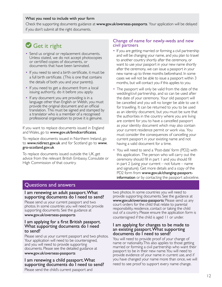#### What you need to include with your form

Check the supporting documents guidance at [www.gov.uk/overseas-passports](http://www.gov.uk/overseas-passports). Your application will be delayed if you don't submit all the right documents.

## Get it right

- Send us original or replacement documents. Unless stated, we do not accept photocopies or certified copies of documents, or documents that have been laminated.
- If you need to send a birth certificate, it must be a full birth certificate. (This is one that contains the details of both you and your parents).
- If you need to get a document from a local issuing authority, do it before you apply.
- If any document you are providing is in a language other than English or Welsh, you must provide the original document and an official translation. This must be signed and stamped by a translator who is a member of a recognised professional organisation to prove it is genuine.

If you want to replace documents issued in England and Wales, go to [www.gov.uk/bmdcertificates](http://www.gov.uk/bmdcertificates).

To replace documents issued in Northern Ireland, go to [www.nidirect.gov.uk](http://www.nidirect.gov.uk) and for Scotland go to [www.](http://www.gro-scotland.gov.uk) [gro-scotland.gov.uk](http://www.gro-scotland.gov.uk)

To replace documents issued outside the UK, get advice from the relevant British Embassy, Consulate or High Commission of that country.

#### Change of name for newly-weds and new civil partners

- If you are getting married or forming a civil partnership and will be changing your name, and you plan to travel to another country shortly after the ceremony, or want to use your passport in your new name shortly after the ceremony, we can issue a passport in your new name up to three months beforehand. In some cases we will not be able to issue a passport within 3 months, but will contact you if this applies to you.
- The passport will only be valid from the date of the wedding/civil partnership, and so can be used after the date of your ceremony. Your old passport will be cancelled and you will no longer be able to use it for travelling. It can be returned to you to be used as an identity document, but you must be sure that the authorities in the country where you are living are content for you to have a cancelled passport as your identity document which may also contain your current residence permit or work visa. You must consider the consequences of cancelling your current passport in your existing name and not having a valid document for a time.
- You will need to send a 'Post-date' form (PD2) with this application. The person who will carry out the ceremony should fill in part 1 and you should fill in part 2 (using your current – not future – name and signature). Get more details and a copy of the PD2 form from [www.gov.uk/](http://www.gov.uk/changing-passport-information)changing-passportinformation or by contacting the passport adviceline.

## Questions and answers

#### I am renewing an adult passport. What supporting documents do I need to send?

Please send us your current passport and two photos. In some countries you will need to provide supporting documents. See the guidance at

#### [www.gov.uk/](http://www.gov.uk/overseas-passports)overseas-passports

#### I am applying for a first British passport. What supporting documents do I need to send?

Please send us your current passport and two photos. Your application will need to be countersigned, and you will need to provide supporting documents. Please see the detailed guidance at

#### [www.gov.uk/overseas-passports](http://www.gov.uk/overseas-passports)

I am renewing a child passport. What supporting documents do I need to send? Please send the child's current passport and

two photos. In some countries you will need to provide supporting documents. See the guidance at [www.gov.uk/](http://www.gov.uk/overseas-passports)overseas-passports Please send us any court orders for the child that relate to parental responsibility, residence, contact or taking the child out of a country. Please ensure the application form is countersigned if the child is aged 11 or under.

#### I am applying for changes to be made to an existing passport. What supporting documents do I need to send?

You will need to provide proof of your change of name or nationality. This also applies to those getting married or forming a civil partnership who want their passport to be in their new name. You will need to provide evidence of your name in current use, and if you have changed your name more than once, we will need to see proof to support every name change.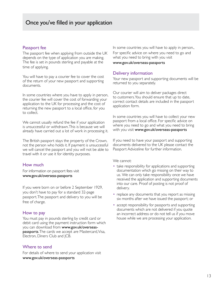#### Passport fee

The passport fee when applying from outside the UK depends on the type of application you are making. The fee is set in pounds sterling and payable at the time of applying.

You will have to pay a courier fee to cover the cost of the return of your new passport and supporting documents.

In some countries where you have to apply in person, the courier fee will cover the cost of forwarding your application to the UK for processing and the cost of returning the new passport to a local office, for you to collect.

We cannot usually refund the fee if your application is unsuccessful or withdrawn. This is because we will already have carried out a lot of work in processing it.

The British passport stays the property of the Crown, not the person who holds it. If payment is unsuccessful we will cancel the passport and you will not be able to travel with it or use it for identity purposes.

#### How much

For information on passport fees visit [www.gov.uk](http://www.gov.uk/overseas-passports)/overseas-passports

If you were born on or before 2 September 1929, you don't have to pay for a standard 32-page passport. The passport and delivery to you will be free of charge.

#### How to pay

You must pay in pounds sterling by credit card or debit card using the payment instruction form which you can download from [www.gov.uk/](http://www.gov.uk/overseas-passports)overseaspassports. The cards we accept are Mastercard, Visa, Electron, Diners Club and JCB.

#### Where to send

For details of where to send your application visit [www.gov.uk/](http://www.gov.uk/overseas-passports)overseas-passports

In some countries you will have to apply in person., For specific advice on where you need to go and what you need to bring with you visit

#### [www.gov.uk/overseas-passports](http://www.gov.uk/overseas-passports)

#### Delivery information

Your new passport and supporting documents will be returned to you separately.

Our courier will aim to deliver packages direct to customers. You should ensure that up to date, correct contact details are included in the passport application form.

In some countries you will have to collect your new passport from a local office. For specific advice on where you need to go and what you need to bring with you visit [www.gov.uk/overseas-passports](http://www.gov.uk/overseas-passports)

If you need to have your passport and supporting documents delivered to the UK please contact the Passport Adviceline for further information.

We cannot:

- take responsibility for applications and supporting documentation which go missing on their way to us. We can only take responsibility once we have received the application and supporting documents into our care. Proof of posting is not proof of delivery.
- replace any documents that you report as missing six months after we have issued the passport; or
- accept responsibility for passports and supporting documents which are not delivered if you quote an incorrect address or do not tell us if you move house while we are processing your application.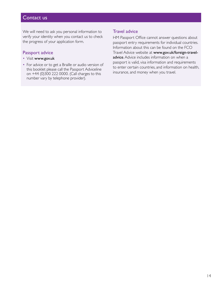## Contact us

We will need to ask you personal information to verify your identity when you contact us to check the progress of your application form.

### Passport advice

- Visit [www.gov.uk](http://www.gov.uk)
- For advice or to get a Braille or audio version of this booklet please call the Passport Adviceline on +44 (0)300 222 0000. (Call charges to this number vary by telephone provider).

#### Travel advice

HM Passport Office cannot answer questions about passport entry requirements for individual countries. Information about this can be found on the FCO Travel Advice website at [www.gov.uk/](http://www.gov.uk/foreign-travel-advice)foreign-travel[advice](http://www.gov.uk/foreign-travel-advice). Advice includes information on when a passport is valid, visa information and requirements to enter certain countries, and information on health, insurance, and money when you travel.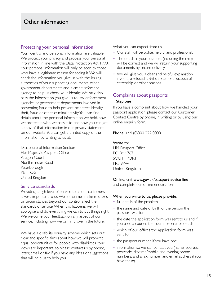## Other information

#### Protecting your personal information

Your identity and personal information are valuable. We protect your privacy and process your personal information in line with the Data Protection Act 1998. Your personal information will only be seen by those who have a legitimate reason for seeing it. We will check the information you give us with the issuing authorities of your supporting documents, other government departments and a credit-reference agency to help us check your identity. We may also pass the information you give us to law-enforcement agencies or government departments involved in preventing fraud to help prevent or detect identity theft, fraud or other criminal activity. You can find details about the personal information we hold, how we protect it, who we pass it to and how you can get a copy of that information in our privacy statement on our website. You can get a printed copy of the information by writing to us at:

Disclosure of Information Section Her Majesty's Passport Office Aragon Court Northminster Road **Peterborough** PE1 1QG United Kingdom

#### Service standards

Providing a high level of service to all our customers is very important to us. We sometimes make mistakes, or circumstances beyond our control affect the standards of service. When this happens, we will apologise and do everything we can to put things right. We welcome your feedback on any aspect of our service, including how we can improve in the future.

We have a disability equality scheme which sets out clear and specific aims about how we will promote equal opportunities for people with disabilities. Your views are important, so please contact us by phone, letter, email or fax if you have any ideas or suggestions that will help us to help you.

What you can expect from us

- Our staff will be polite, helpful and professional.
- The details in your passport (including the chip) will be correct and we will return your supporting documents by secure delivery.
- We will give you a clear and helpful explanation if you are refused a British passport because of citizenship or other reasons.

### Complaints about passports

#### 1 Step one

If you have a complaint about how we handled your passport application, please contact our Customer Contact Centre by phone, in writing or by using our online enquiry form.

Phone: +44 (0)300 222 0000

#### Write to:

HM Passport Office PO Box 767 SOUTHPORT PR8 9PW United Kingdom

#### Online: visit [www.gov.uk/passport-advice-line](http://www.gov.uk/passport-advice-line)

and complete our online enquiry form

#### When you write to us, please provide:

- full details of the problem
- the name and date of birth of the person the passport was for
- the date the application form was sent to us and if you used a courier, the courier reference details
- which of our offices the application form was sent to
- the passport number, if you have one
- information so we can contact you (name, address, postcode, daytime/mobile and evening phone numbers, and a fax number and email address if you have these).